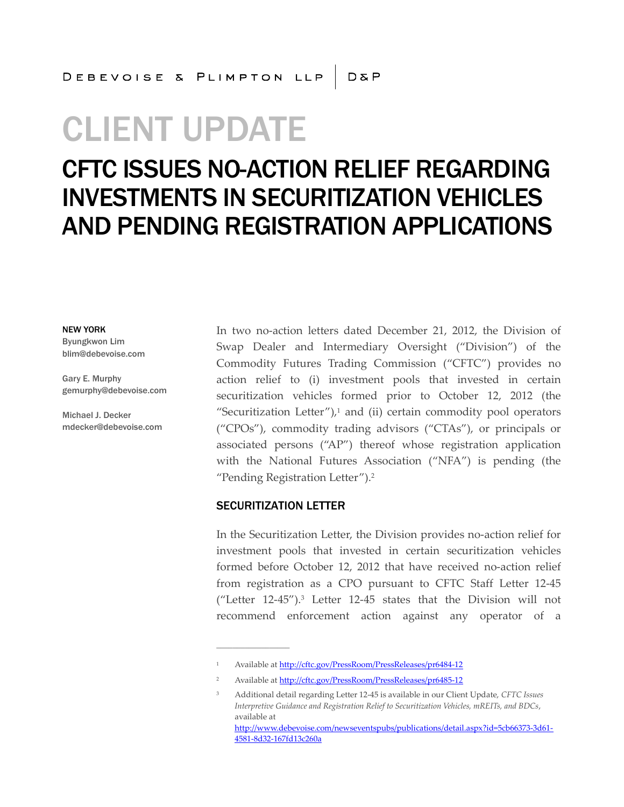# CLIENT UPDATE

## CFTC ISSUES NO-ACTION RELIEF REGARDING INVESTMENTS IN SECURITIZATION VEHICLES AND PENDING REGISTRATION APPLICATIONS

NEW YORK

Byungkwon Lim blim@debevoise.com

Gary E. Murphy gemurphy@debevoise.com

Michael J. Decker mdecker@debevoise.com In two no-action letters dated December 21, 2012, the Division of Swap Dealer and Intermediary Oversight ("Division") of the Commodity Futures Trading Commission ("CFTC") provides no action relief to (i) investment pools that invested in certain securitization vehicles formed prior to October 12, 2012 (the "Securitization Letter") $i$ <sup>1</sup> and (ii) certain commodity pool operators ("CPOs"), commodity trading advisors ("CTAs"), or principals or associated persons ("AP") thereof whose registration application with the National Futures Association ("NFA") is pending (the "Pending Registration Letter").<sup>2</sup>

#### SECURITIZATION LETTER

**\_\_\_\_\_\_\_\_\_\_\_\_\_\_\_\_\_\_**

4581-8d32-167fd13c260a

In the Securitization Letter, the Division provides no-action relief for investment pools that invested in certain securitization vehicles formed before October 12, 2012 that have received no-action relief from registration as a CPO pursuant to CFTC Staff Letter 12-45 ("Letter 12-45").<sup>3</sup> Letter 12-45 states that the Division will not recommend enforcement action against any operator of a

<sup>1</sup> Available at http://cftc.gov/PressRoom/PressReleases/pr6484-12

<sup>2</sup> Available at http://cftc.gov/PressRoom/PressReleases/pr6485-12

<sup>3</sup> Additional detail regarding Letter 12-45 is available in our Client Update, *CFTC Issues Interpretive Guidance and Registration Relief to Securitization Vehicles, mREITs, and BDCs*, available at [http://www.debevoise.com/newseventspubs/publications/detail.aspx?id=5cb66373-3d61-](http://www.debevoise.com/newseventspubs/publications/detail.aspx?id=5cb66373-3d61-4581-8d32-167fd13c260a)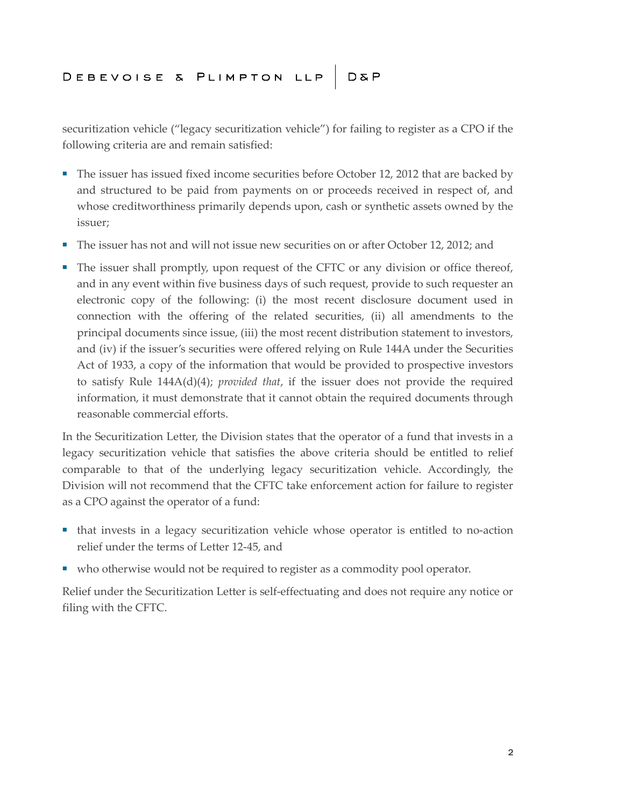### DEBEVOISE & PLIMPTON LLP D&P

securitization vehicle ("legacy securitization vehicle") for failing to register as a CPO if the following criteria are and remain satisfied:

- The issuer has issued fixed income securities before October 12, 2012 that are backed by and structured to be paid from payments on or proceeds received in respect of, and whose creditworthiness primarily depends upon, cash or synthetic assets owned by the issuer;
- The issuer has not and will not issue new securities on or after October 12, 2012; and
- The issuer shall promptly, upon request of the CFTC or any division or office thereof, and in any event within five business days of such request, provide to such requester an electronic copy of the following: (i) the most recent disclosure document used in connection with the offering of the related securities, (ii) all amendments to the principal documents since issue, (iii) the most recent distribution statement to investors, and (iv) if the issuer's securities were offered relying on Rule 144A under the Securities Act of 1933, a copy of the information that would be provided to prospective investors to satisfy Rule 144A(d)(4); *provided that*, if the issuer does not provide the required information, it must demonstrate that it cannot obtain the required documents through reasonable commercial efforts.

In the Securitization Letter, the Division states that the operator of a fund that invests in a legacy securitization vehicle that satisfies the above criteria should be entitled to relief comparable to that of the underlying legacy securitization vehicle. Accordingly, the Division will not recommend that the CFTC take enforcement action for failure to register as a CPO against the operator of a fund:

- that invests in a legacy securitization vehicle whose operator is entitled to no-action relief under the terms of Letter 12-45, and
- who otherwise would not be required to register as a commodity pool operator.

Relief under the Securitization Letter is self-effectuating and does not require any notice or filing with the CFTC.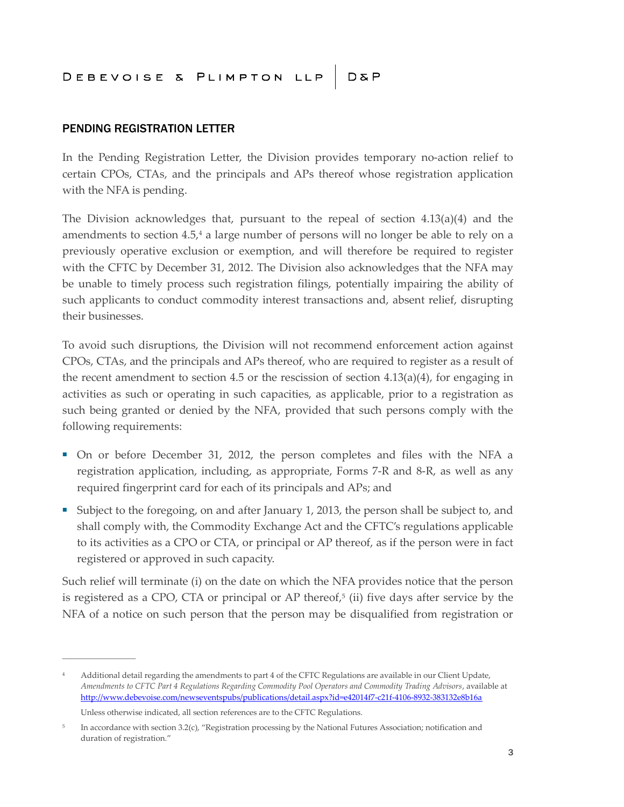### DEBEVOISE & PLIMPTON LLP D&P

#### PENDING REGISTRATION LETTER

In the Pending Registration Letter, the Division provides temporary no-action relief to certain CPOs, CTAs, and the principals and APs thereof whose registration application with the NFA is pending.

The Division acknowledges that, pursuant to the repeal of section  $4.13(a)(4)$  and the amendments to section 4.5,<sup>4</sup> a large number of persons will no longer be able to rely on a previously operative exclusion or exemption, and will therefore be required to register with the CFTC by December 31, 2012. The Division also acknowledges that the NFA may be unable to timely process such registration filings, potentially impairing the ability of such applicants to conduct commodity interest transactions and, absent relief, disrupting their businesses.

To avoid such disruptions, the Division will not recommend enforcement action against CPOs, CTAs, and the principals and APs thereof, who are required to register as a result of the recent amendment to section 4.5 or the rescission of section 4.13(a)(4), for engaging in activities as such or operating in such capacities, as applicable, prior to a registration as such being granted or denied by the NFA, provided that such persons comply with the following requirements:

- On or before December 31, 2012, the person completes and files with the NFA a registration application, including, as appropriate, Forms 7-R and 8-R, as well as any required fingerprint card for each of its principals and APs; and
- Subject to the foregoing, on and after January 1, 2013, the person shall be subject to, and shall comply with, the Commodity Exchange Act and the CFTC's regulations applicable to its activities as a CPO or CTA, or principal or AP thereof, as if the person were in fact registered or approved in such capacity.

Such relief will terminate (i) on the date on which the NFA provides notice that the person is registered as a CPO, CTA or principal or AP thereof, $5$  (ii) five days after service by the NFA of a notice on such person that the person may be disqualified from registration or

**\_\_\_\_\_\_\_\_\_\_\_\_\_\_\_\_\_\_**

<sup>&</sup>lt;sup>4</sup> Additional detail regarding the amendments to part 4 of the CFTC Regulations are available in our Client Update, *Amendments to CFTC Part 4 Regulations Regarding Commodity Pool Operators and Commodity Trading Advisors*, available at http://www.debevoise.com/newseventspubs/publications/detail.aspx?id=e42014f7-c21f-4106-8932-383132e8b16a

Unless otherwise indicated, all section references are to the CFTC Regulations.

<sup>5</sup> In accordance with section 3.2(c), "Registration processing by the National Futures Association; notification and duration of registration."